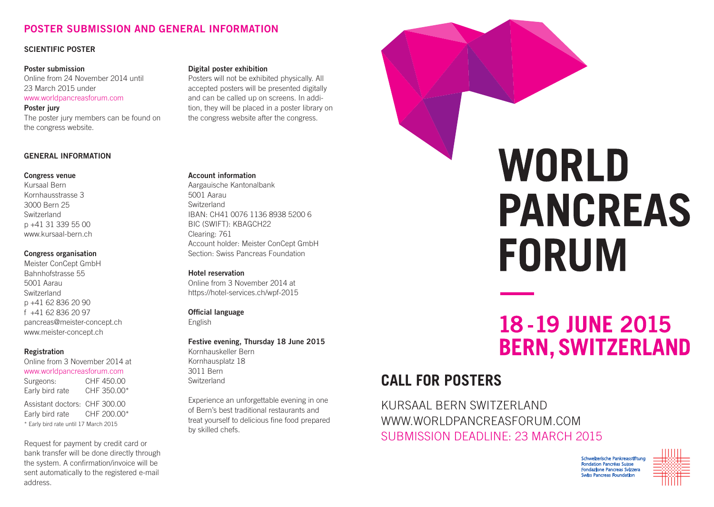## **POSTER SUBMISSION AND GENERAL INFORMATION**

#### **SCIENTIFIC POSTER**

#### **Poster submission**

Online from 24 November 2014 until 23 March 2015 under www.worldpancreasforum.com **Poster jury**

The poster jury members can be found on the congress website.

#### **GENERAL INFORMATION**

#### **Congress venue**

Kursaal Bern Kornhausstrasse 3 3000 Bern 25 Switzerland p +41 31 339 55 00 www.kursaal-bern.ch

#### **Congress organisation**

Meister ConCept GmbH Bahnhofstrasse 55 5001 Aarau Switzerland p +41 62 836 20 90 f +41 62 836 20 97 pancreas@meister-concept.ch www.meister-concept.ch

#### **Registration**

Online from 3 November 2014 at www.worldpancreasforum.com Surgeons: CHF 450.00 Early bird rate CHF 350.00\* Assistant doctors: CHF 300.00 Early bird rate CHF 200.00\* \* Early bird rate until 17 March 2015

Request for payment by credit card or bank transfer will be done directly through the system. A confirmation/invoice will be sent automatically to the registered e-mail address.

#### **Digital poster exhibition**

Posters will not be exhibited physically. All accepted posters will be presented digitally and can be called up on screens. In addition, they will be placed in a poster library on the congress website after the congress.

#### **Account information**

Aargauische Kantonalbank 5001 Aarau Switzerland IBAN: CH41 0076 1136 8938 5200 6 BIC (SWIFT): KBAGCH22 Clearing: 761 Account holder: Meister ConCept GmbH Section: Swiss Pancreas Foundation

#### **Hotel reservation**

Online from 3 November 2014 at https://hotel-services.ch/wpf-2015

#### **Official language**

English

#### **Festive evening, Thursday 18 June 2015** Kornhauskeller Bern Kornhausplatz 18 3011 Bern Switzerland

Experience an unforgettable evening in one of Bern's best traditional restaurants and treat yourself to delicious fine food prepared by skilled chefs.



# WORLD **PANCREAS FORUM**

# **18-19 JUNE 2015 BERN, SWITZERLAND**

# **CALL FOR POSTERS**

KURSAAL BERN SWITZERLAND WWW.WORLDPANCREASFORUM.COM SUBMISSION DEADLINE: 23 MARCH 2015

> rische Pankre tion Pancréas Suiss